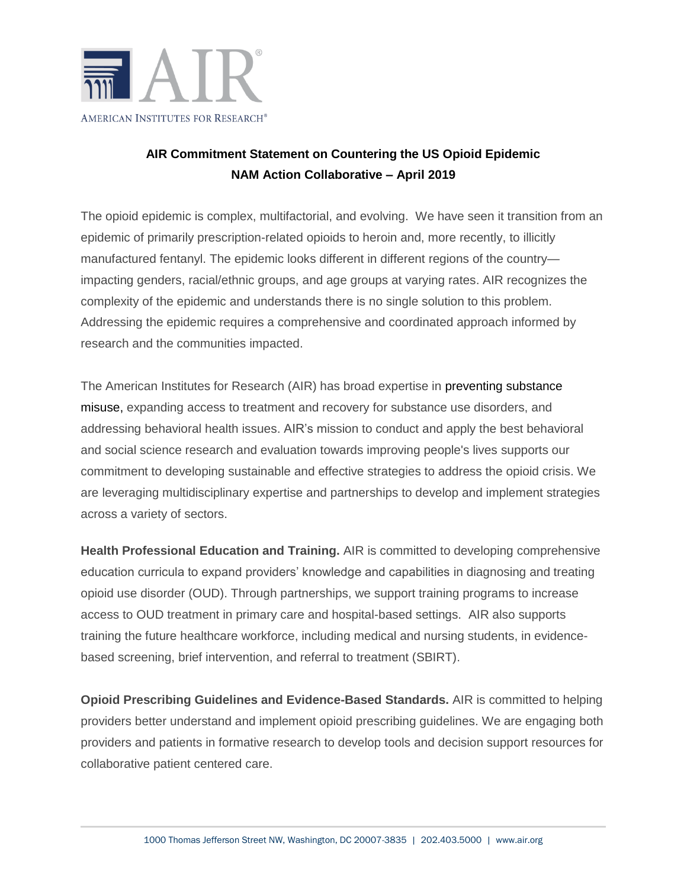

## **AIR Commitment Statement on Countering the US Opioid Epidemic NAM Action Collaborative – April 2019**

The opioid epidemic is complex, multifactorial, and evolving. We have seen it transition from an epidemic of primarily prescription-related opioids to heroin and, more recently, to illicitly manufactured fentanyl. The epidemic looks different in different regions of the country impacting genders, racial/ethnic groups, and age groups at varying rates. AIR recognizes the complexity of the epidemic and understands there is no single solution to this problem. Addressing the epidemic requires a comprehensive and coordinated approach informed by research and the communities impacted.

The American Institutes for Research (AIR) has broad expertise in [preventing substance](https://www.air.org/topic/families-communities-and-social-systems/substance-abuse-disorders)  [misuse,](https://www.air.org/topic/families-communities-and-social-systems/substance-abuse-disorders) expanding access to treatment and recovery for substance use disorders, and addressing behavioral health issues. AIR's mission to conduct and apply the best behavioral and social science research and evaluation towards improving people's lives supports our commitment to developing sustainable and effective strategies to address the opioid crisis. We are leveraging multidisciplinary expertise and partnerships to develop and implement strategies across a variety of sectors.

**Health Professional Education and Training.** AIR is committed to developing comprehensive education curricula to expand providers' knowledge and capabilities in diagnosing and treating opioid use disorder (OUD). Through partnerships, we support training programs to increase access to OUD treatment in primary care and hospital-based settings. AIR also supports training the future healthcare workforce, including medical and nursing students, in evidencebased screening, brief intervention, and referral to treatment (SBIRT).

**Opioid Prescribing Guidelines and Evidence-Based Standards.** AIR is committed to helping providers better understand and implement opioid prescribing guidelines. We are engaging both providers and patients in formative research to develop tools and decision support resources for collaborative patient centered care.